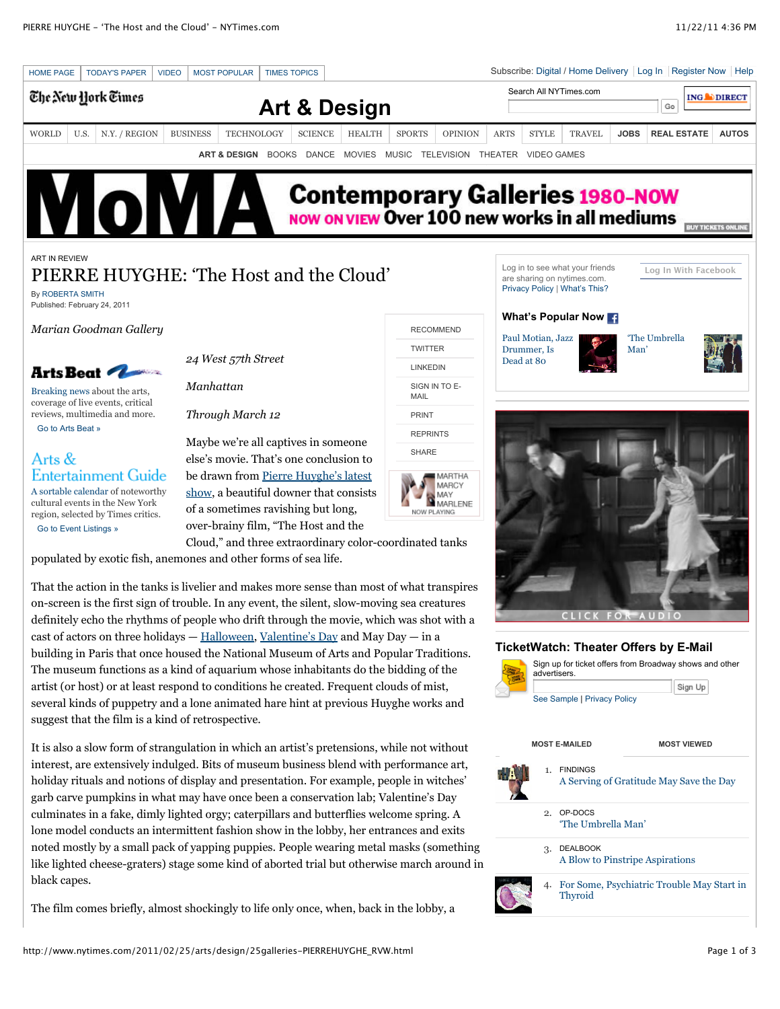

## ART IN REVIEW PIERRE HUYGHE: 'The Host and the Cloud'

By ROBERTA SMITH Published: February 24, 2011

*Marian Goodman Gallery*



Breaking news about the arts, coverage of live events, critical reviews, multimedia and more. Go to Arts Beat »

## Arts  $\&$ **Entertainment Guide**

A sortable calendar of noteworthy cultural events in the New York region, selected by Times critics. Go to Event Listings »

*24 West 57th Street*

*Manhattan*

*Through March 12*

Maybe we're all captives in someone else's movie. That's one conclusion to be drawn from Pierre Huyghe's latest show, a beautiful downer that consists of a sometimes ravishing but long, over-brainy film, "The Host and the

Cloud," and three extraordinary color-coordinated tanks populated by exotic fish, anemones and other forms of sea life.

That the action in the tanks is livelier and makes more sense than most of what transpires on-screen is the first sign of trouble. In any event, the silent, slow-moving sea creatures definitely echo the rhythms of people who drift through the movie, which was shot with a cast of actors on three holidays  $-$  Halloween, Valentine's Day and May Day  $-$  in a building in Paris that once housed the National Museum of Arts and Popular Traditions. The museum functions as a kind of aquarium whose inhabitants do the bidding of the artist (or host) or at least respond to conditions he created. Frequent clouds of mist, several kinds of puppetry and a lone animated hare hint at previous Huyghe works and suggest that the film is a kind of retrospective.

It is also a slow form of strangulation in which an artist's pretensions, while not without interest, are extensively indulged. Bits of museum business blend with performance art, holiday rituals and notions of display and presentation. For example, people in witches' garb carve pumpkins in what may have once been a conservation lab; Valentine's Day culminates in a fake, dimly lighted orgy; caterpillars and butterflies welcome spring. A lone model conducts an intermittent fashion show in the lobby, her entrances and exits noted mostly by a small pack of yapping puppies. People wearing metal masks (something like lighted cheese-graters) stage some kind of aborted trial but otherwise march around in black capes.

The film comes briefly, almost shockingly to life only once, when, back in the lobby, a



Paul Motian, Jazz Drummer, Is Dead at 80

Log in to see what your friends are sharing on nytimes.com. Privacy Policy | What's This?

**What's Popular Now** 





'The Umbrella Man'

**Log In With Facebook**

## **TicketWatch: Theater Offers by E-Mail**

**CLICK FOR AUD** 

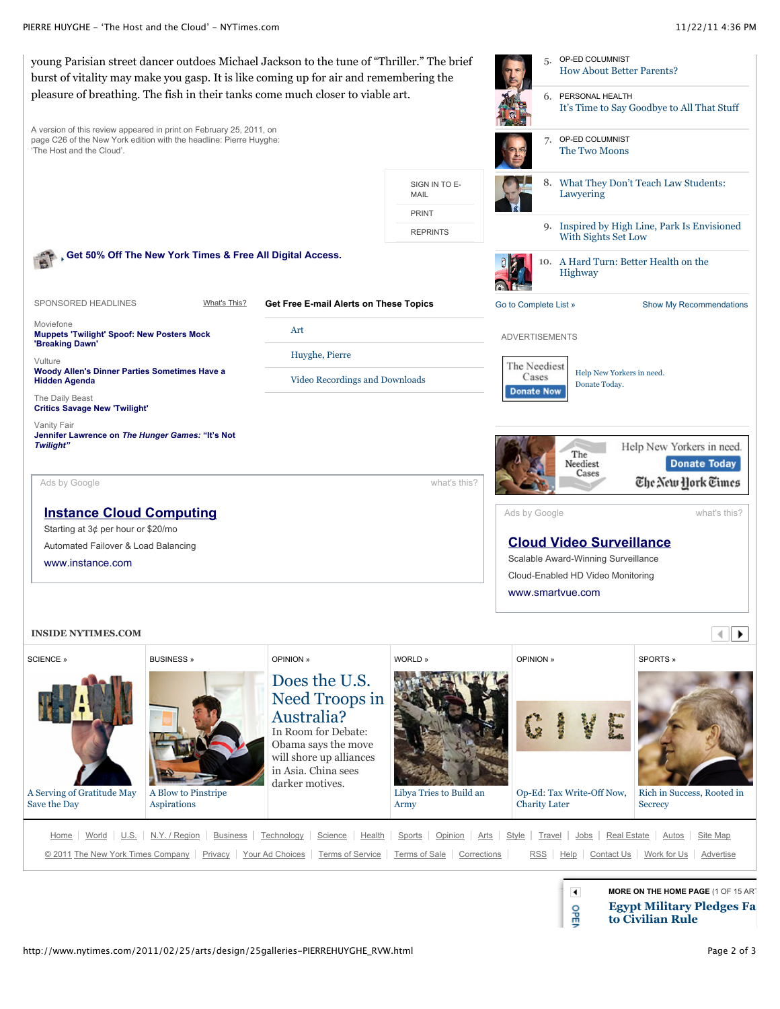

 $\blacktriangleleft$ **MORE ON THE HOME PAGE (1 OF 15 ART) Egypt Military Pledges Fa to Civilian Rule**

OPEN

http://www.nytimes.com/2011/02/25/arts/design/25galleries-PIERREHUYGHE\_RVW.html Page 2 of 3